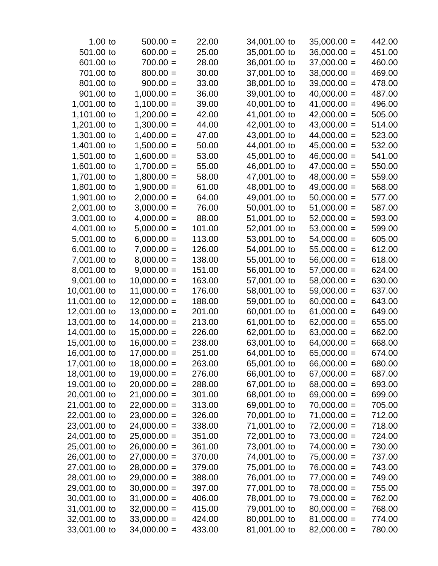| $1.00$ to    | $500.00 =$    | 22.00  | 34,001.00 to | $35,000.00 =$ | 442.00 |
|--------------|---------------|--------|--------------|---------------|--------|
| 501.00 to    | $600.00 =$    | 25.00  | 35,001.00 to | $36,000.00 =$ | 451.00 |
| 601.00 to    | $700.00 =$    | 28.00  | 36,001.00 to | $37,000.00 =$ | 460.00 |
| 701.00 to    | $800.00 =$    | 30.00  | 37,001.00 to | $38,000.00 =$ | 469.00 |
| 801.00 to    | $900.00 =$    | 33.00  | 38,001.00 to | $39,000.00 =$ | 478.00 |
| 901.00 to    | $1,000.00 =$  | 36.00  | 39,001.00 to | $40,000.00 =$ | 487.00 |
| 1,001.00 to  | $1,100.00 =$  | 39.00  | 40,001.00 to | $41,000.00 =$ | 496.00 |
| 1,101.00 to  | $1,200.00 =$  | 42.00  | 41,001.00 to | $42,000.00 =$ | 505.00 |
| 1,201.00 to  | $1,300.00 =$  | 44.00  | 42,001.00 to | $43,000.00 =$ | 514.00 |
| 1,301.00 to  | $1,400.00 =$  | 47.00  | 43,001.00 to | $44,000.00 =$ | 523.00 |
| 1,401.00 to  | $1,500.00 =$  | 50.00  | 44,001.00 to | $45,000.00 =$ | 532.00 |
| 1,501.00 to  | $1,600.00 =$  | 53.00  | 45,001.00 to | $46,000.00 =$ | 541.00 |
| 1,601.00 to  | $1,700.00 =$  | 55.00  | 46,001.00 to | $47,000.00 =$ | 550.00 |
| 1,701.00 to  | $1,800.00 =$  | 58.00  | 47,001.00 to | $48,000.00 =$ | 559.00 |
| 1,801.00 to  | $1,900.00 =$  | 61.00  | 48,001.00 to | $49,000.00 =$ | 568.00 |
| 1,901.00 to  | $2,000.00 =$  | 64.00  | 49,001.00 to | $50,000.00 =$ | 577.00 |
| 2,001.00 to  | $3,000.00 =$  | 76.00  | 50,001.00 to | $51,000.00 =$ | 587.00 |
| 3,001.00 to  | $4,000.00 =$  | 88.00  | 51,001.00 to | $52,000.00 =$ | 593.00 |
| 4,001.00 to  | $5,000.00 =$  | 101.00 | 52,001.00 to | $53,000.00 =$ | 599.00 |
| 5,001.00 to  | $6,000.00 =$  | 113.00 | 53,001.00 to | $54,000.00 =$ | 605.00 |
| 6,001.00 to  | $7,000.00 =$  | 126.00 | 54,001.00 to | $55,000.00 =$ | 612.00 |
| 7,001.00 to  | $8,000.00 =$  | 138.00 | 55,001.00 to | $56,000.00 =$ | 618.00 |
| 8,001.00 to  | $9,000.00 =$  | 151.00 | 56,001.00 to | $57,000.00 =$ | 624.00 |
| 9,001.00 to  | $10,000.00 =$ | 163.00 | 57,001.00 to | $58,000.00 =$ | 630.00 |
| 10,001.00 to | $11,000.00 =$ | 176.00 | 58,001.00 to | $59,000.00 =$ | 637.00 |
| 11,001.00 to | $12,000.00 =$ | 188.00 | 59,001.00 to | $60,000.00 =$ | 643.00 |
| 12,001.00 to | $13,000.00 =$ | 201.00 | 60,001.00 to | $61,000.00 =$ | 649.00 |
| 13,001.00 to | $14,000.00 =$ | 213.00 | 61,001.00 to | $62,000.00 =$ | 655.00 |
| 14,001.00 to | $15,000.00 =$ | 226.00 | 62,001.00 to | $63,000.00 =$ | 662.00 |
| 15,001.00 to | $16,000.00 =$ | 238.00 | 63,001.00 to | $64,000.00 =$ | 668.00 |
| 16,001.00 to | $17,000.00 =$ | 251.00 | 64,001.00 to | $65,000.00 =$ | 674.00 |
| 17,001.00 to | $18,000.00 =$ | 263.00 | 65,001.00 to | $66,000.00 =$ | 680.00 |
| 18,001.00 to | $19,000.00 =$ | 276.00 | 66,001.00 to | $67,000.00 =$ | 687.00 |
| 19,001.00 to | $20,000.00 =$ | 288.00 | 67,001.00 to | $68,000.00 =$ | 693.00 |
| 20,001.00 to | $21,000.00 =$ | 301.00 | 68,001.00 to | $69,000.00 =$ | 699.00 |
| 21,001.00 to | $22,000.00 =$ | 313.00 | 69,001.00 to | $70,000.00 =$ | 705.00 |
| 22,001.00 to | $23,000.00 =$ | 326.00 | 70,001.00 to | $71,000.00 =$ | 712.00 |
| 23,001.00 to | $24,000.00 =$ | 338.00 | 71,001.00 to | $72,000.00 =$ | 718.00 |
| 24,001.00 to | $25,000.00 =$ | 351.00 | 72,001.00 to | $73,000.00 =$ | 724.00 |
| 25,001.00 to | $26,000.00 =$ | 361.00 | 73,001.00 to | $74,000.00 =$ | 730.00 |
| 26,001.00 to | $27,000.00 =$ | 370.00 | 74,001.00 to | $75,000.00 =$ | 737.00 |
| 27,001.00 to | $28,000.00 =$ | 379.00 | 75,001.00 to | $76,000.00 =$ | 743.00 |
| 28,001.00 to | $29,000.00 =$ | 388.00 | 76,001.00 to | $77,000.00 =$ | 749.00 |
| 29,001.00 to | $30,000.00 =$ | 397.00 | 77,001.00 to | $78,000.00 =$ | 755.00 |
| 30,001.00 to | $31,000.00 =$ | 406.00 | 78,001.00 to | $79,000.00 =$ | 762.00 |
| 31,001.00 to | $32,000.00 =$ | 415.00 | 79,001.00 to | $80,000.00 =$ | 768.00 |
| 32,001.00 to | $33,000.00 =$ | 424.00 | 80,001.00 to | $81,000.00 =$ | 774.00 |
| 33,001.00 to | $34,000.00 =$ | 433.00 | 81,001.00 to | $82,000.00 =$ | 780.00 |
|              |               |        |              |               |        |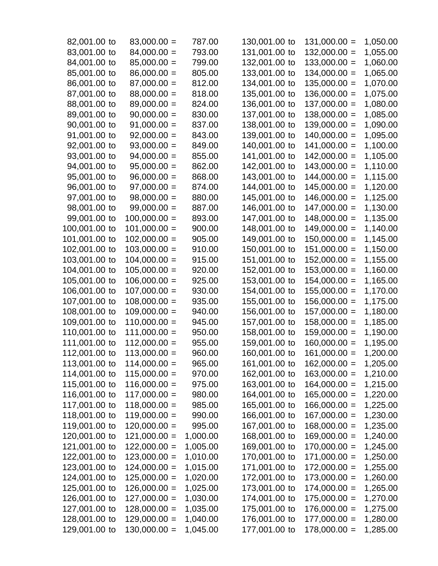| 82,001.00 to  | $83,000.00 =$  | 787.00   | 130,001.00 to | $131,000.00 =$ | 1,050.00 |
|---------------|----------------|----------|---------------|----------------|----------|
| 83,001.00 to  | $84,000.00 =$  | 793.00   | 131,001.00 to | $132,000.00 =$ | 1,055.00 |
| 84,001.00 to  | $85,000.00 =$  | 799.00   | 132,001.00 to | $133,000.00 =$ | 1,060.00 |
| 85,001.00 to  | $86,000.00 =$  | 805.00   | 133,001.00 to | $134,000.00 =$ | 1,065.00 |
| 86,001.00 to  | $87,000.00 =$  | 812.00   | 134,001.00 to | $135,000.00 =$ | 1,070.00 |
| 87,001.00 to  | $88,000.00 =$  | 818.00   | 135,001.00 to | $136,000.00 =$ | 1,075.00 |
| 88,001.00 to  | $89,000.00 =$  | 824.00   | 136,001.00 to | $137,000.00 =$ | 1,080.00 |
| 89,001.00 to  | $90,000.00 =$  | 830.00   | 137,001.00 to | $138,000.00 =$ | 1,085.00 |
| 90,001.00 to  | $91,000.00 =$  | 837.00   | 138,001.00 to | $139,000.00 =$ | 1,090.00 |
| 91,001.00 to  | $92,000.00 =$  | 843.00   | 139,001.00 to | $140,000.00 =$ | 1,095.00 |
| 92,001.00 to  | $93,000.00 =$  | 849.00   | 140,001.00 to | $141,000.00 =$ | 1,100.00 |
| 93,001.00 to  | $94,000.00 =$  | 855.00   | 141,001.00 to | $142,000.00 =$ | 1,105.00 |
| 94,001.00 to  | $95,000.00 =$  | 862.00   | 142,001.00 to | $143,000.00 =$ | 1,110.00 |
| 95,001.00 to  | $96,000.00 =$  | 868.00   | 143,001.00 to | $144,000.00 =$ | 1,115.00 |
| 96,001.00 to  | $97,000.00 =$  | 874.00   | 144,001.00 to | $145,000.00 =$ | 1,120.00 |
| 97,001.00 to  | $98,000.00 =$  | 880.00   | 145,001.00 to | $146,000.00 =$ | 1,125.00 |
| 98,001.00 to  | $99,000.00 =$  | 887.00   | 146,001.00 to | $147,000.00 =$ | 1,130.00 |
| 99,001.00 to  | $100,000.00 =$ | 893.00   | 147,001.00 to | $148,000.00 =$ | 1,135.00 |
| 100,001.00 to | $101,000.00 =$ | 900.00   | 148,001.00 to | $149,000.00 =$ | 1,140.00 |
| 101,001.00 to | $102,000.00 =$ | 905.00   | 149,001.00 to | $150,000.00 =$ | 1,145.00 |
| 102,001.00 to | $103,000.00 =$ | 910.00   | 150,001.00 to | $151,000.00 =$ | 1,150.00 |
| 103,001.00 to | $104,000.00 =$ | 915.00   | 151,001.00 to | $152,000.00 =$ | 1,155.00 |
| 104,001.00 to | $105,000.00 =$ | 920.00   | 152,001.00 to | $153,000.00 =$ | 1,160.00 |
| 105,001.00 to | $106,000.00 =$ | 925.00   | 153,001.00 to | $154,000.00 =$ | 1,165.00 |
| 106,001.00 to | $107,000.00 =$ | 930.00   | 154,001.00 to | $155,000.00 =$ | 1,170.00 |
| 107,001.00 to | $108,000.00 =$ | 935.00   | 155,001.00 to | $156,000.00 =$ | 1,175.00 |
| 108,001.00 to | $109,000.00 =$ | 940.00   | 156,001.00 to | $157,000.00 =$ | 1,180.00 |
| 109,001.00 to | $110,000.00 =$ | 945.00   | 157,001.00 to | $158,000.00 =$ | 1,185.00 |
| 110,001.00 to | $111,000.00 =$ | 950.00   | 158,001.00 to | $159,000.00 =$ | 1,190.00 |
| 111,001.00 to | $112,000.00 =$ | 955.00   | 159,001.00 to | $160,000.00 =$ | 1,195.00 |
| 112,001.00 to | $113,000.00 =$ | 960.00   | 160,001.00 to | $161,000.00 =$ | 1,200.00 |
| 113,001.00 to | $114,000.00 =$ | 965.00   | 161,001.00 to | $162,000.00 =$ | 1,205.00 |
| 114,001.00 to | $115,000.00 =$ | 970.00   | 162,001.00 to | $163,000.00 =$ | 1,210.00 |
| 115,001.00 to | $116,000.00 =$ | 975.00   | 163,001.00 to | $164,000.00 =$ | 1,215.00 |
| 116,001.00 to | $117,000.00 =$ | 980.00   | 164,001.00 to | $165,000.00 =$ | 1,220.00 |
| 117,001.00 to | $118,000.00 =$ | 985.00   | 165,001.00 to | $166,000.00 =$ | 1,225.00 |
| 118,001.00 to | $119,000.00 =$ | 990.00   | 166,001.00 to | $167,000.00 =$ | 1,230.00 |
| 119,001.00 to | $120,000.00 =$ | 995.00   | 167,001.00 to | $168,000.00 =$ | 1,235.00 |
| 120,001.00 to | $121,000.00 =$ | 1,000.00 | 168,001.00 to | $169,000.00 =$ | 1,240.00 |
| 121,001.00 to | $122,000.00 =$ | 1,005.00 | 169,001.00 to | $170,000.00 =$ | 1,245.00 |
| 122,001.00 to | $123,000.00 =$ | 1,010.00 | 170,001.00 to | $171,000.00 =$ | 1,250.00 |
| 123,001.00 to | $124,000.00 =$ | 1,015.00 | 171,001.00 to | $172,000.00 =$ | 1,255.00 |
| 124,001.00 to | $125,000.00 =$ | 1,020.00 | 172,001.00 to | $173,000.00 =$ | 1,260.00 |
| 125,001.00 to | $126,000.00 =$ | 1,025.00 | 173,001.00 to | $174,000.00 =$ | 1,265.00 |
| 126,001.00 to | $127,000.00 =$ | 1,030.00 | 174,001.00 to | $175,000.00 =$ | 1,270.00 |
| 127,001.00 to | $128,000.00 =$ | 1,035.00 | 175,001.00 to | $176,000.00 =$ | 1,275.00 |
| 128,001.00 to | $129,000.00 =$ | 1,040.00 | 176,001.00 to | $177,000.00 =$ | 1,280.00 |
| 129,001.00 to | $130,000.00 =$ | 1,045.00 | 177,001.00 to | $178,000.00 =$ | 1,285.00 |
|               |                |          |               |                |          |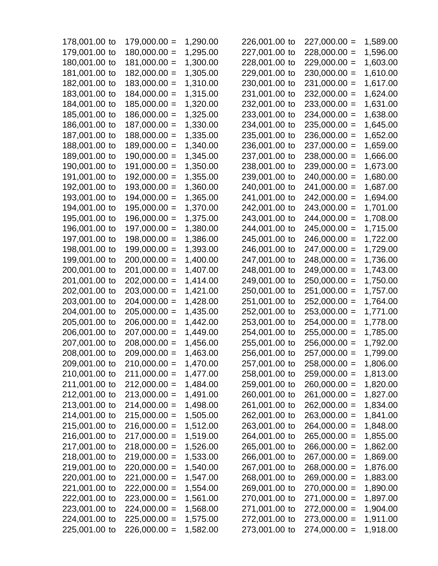| 178,001.00 to | $179,000.00 =$ | 1,290.00 | 226,001.00 to | $227,000.00 =$ | 1,589.00             |
|---------------|----------------|----------|---------------|----------------|----------------------|
| 179,001.00 to | $180,000.00 =$ | 1,295.00 | 227,001.00 to | $228,000.00 =$ | 1,596.00             |
| 180,001.00 to | $181,000.00 =$ | 1,300.00 | 228,001.00 to | $229,000.00 =$ | 1,603.00             |
| 181,001.00 to | $182,000.00 =$ | 1,305.00 | 229,001.00 to | $230,000.00 =$ | 1,610.00             |
| 182,001.00 to | $183,000.00 =$ | 1,310.00 | 230,001.00 to | $231,000.00 =$ | 1,617.00             |
| 183,001.00 to | $184,000.00 =$ | 1,315.00 | 231,001.00 to | $232,000.00 =$ | 1,624.00             |
| 184,001.00 to | $185,000.00 =$ | 1,320.00 | 232,001.00 to | $233,000.00 =$ | 1,631.00             |
| 185,001.00 to | $186,000.00 =$ | 1,325.00 | 233,001.00 to | $234,000.00 =$ | 1,638.00             |
| 186,001.00 to | $187,000.00 =$ | 1,330.00 | 234,001.00 to | $235,000.00 =$ | 1,645.00             |
| 187,001.00 to | $188,000.00 =$ | 1,335.00 | 235,001.00 to | $236,000.00 =$ | 1,652.00             |
| 188,001.00 to | $189,000.00 =$ | 1,340.00 | 236,001.00 to | $237,000.00 =$ | 1,659.00             |
| 189,001.00 to | $190,000.00 =$ | 1,345.00 | 237,001.00 to | $238,000.00 =$ | 1,666.00             |
| 190,001.00 to | $191,000.00 =$ | 1,350.00 | 238,001.00 to | $239,000.00 =$ | 1,673.00             |
| 191,001.00 to | $192,000.00 =$ | 1,355.00 | 239,001.00 to | $240,000.00 =$ | 1,680.00             |
| 192,001.00 to | $193,000.00 =$ | 1,360.00 | 240,001.00 to | $241,000.00 =$ | 1,687.00             |
| 193,001.00 to | $194,000.00 =$ | 1,365.00 | 241,001.00 to | $242,000.00 =$ | 1,694.00             |
| 194,001.00 to | $195,000.00 =$ | 1,370.00 | 242,001.00 to | $243,000.00 =$ | 1,701.00             |
| 195,001.00 to | $196,000.00 =$ | 1,375.00 | 243,001.00 to | $244,000.00 =$ | 1,708.00             |
| 196,001.00 to | $197,000.00 =$ | 1,380.00 | 244,001.00 to | $245,000.00 =$ | 1,715.00             |
| 197,001.00 to | $198,000.00 =$ | 1,386.00 | 245,001.00 to | $246,000.00 =$ | 1,722.00             |
| 198,001.00 to | $199,000.00 =$ | 1,393.00 | 246,001.00 to | $247,000.00 =$ | 1,729.00             |
| 199,001.00 to | $200,000.00 =$ | 1,400.00 | 247,001.00 to | $248,000.00 =$ | 1,736.00             |
| 200,001.00 to | $201,000.00 =$ | 1,407.00 | 248,001.00 to | $249,000.00 =$ | 1,743.00             |
| 201,001.00 to | $202,000.00 =$ | 1,414.00 | 249,001.00 to | $250,000.00 =$ | 1,750.00             |
| 202,001.00 to | $203,000.00 =$ | 1,421.00 | 250,001.00 to | $251,000.00 =$ | 1,757.00             |
| 203,001.00 to | $204,000.00 =$ | 1,428.00 | 251,001.00 to | $252,000.00 =$ | 1,764.00             |
| 204,001.00 to | $205,000.00 =$ | 1,435.00 | 252,001.00 to | $253,000.00 =$ | 1,771.00             |
| 205,001.00 to | $206,000.00 =$ | 1,442.00 | 253,001.00 to | $254,000.00 =$ |                      |
| 206,001.00 to | $207,000.00 =$ | 1,449.00 | 254,001.00 to | $255,000.00 =$ | 1,778.00             |
| 207,001.00 to | $208,000.00 =$ | 1,456.00 | 255,001.00 to | $256,000.00 =$ | 1,785.00<br>1,792.00 |
| 208,001.00 to | $209,000.00 =$ |          | 256,001.00 to |                | 1,799.00             |
|               |                | 1,463.00 |               | $257,000.00 =$ |                      |
| 209,001.00 to | $210,000.00 =$ | 1,470.00 | 257,001.00 to | $258,000.00 =$ | 1,806.00             |
| 210,001.00 to | $211,000.00 =$ | 1,477.00 | 258,001.00 to | $259,000.00 =$ | 1,813.00             |
| 211,001.00 to | $212,000.00 =$ | 1,484.00 | 259,001.00 to | $260,000.00 =$ | 1,820.00             |
| 212,001.00 to | $213,000.00 =$ | 1,491.00 | 260,001.00 to | $261,000.00 =$ | 1,827.00             |
| 213,001.00 to | $214,000.00 =$ | 1,498.00 | 261,001.00 to | $262,000.00 =$ | 1,834.00             |
| 214,001.00 to | $215,000.00 =$ | 1,505.00 | 262,001.00 to | $263,000.00 =$ | 1,841.00             |
| 215,001.00 to | $216,000.00 =$ | 1,512.00 | 263,001.00 to | $264,000.00 =$ | 1,848.00             |
| 216,001.00 to | $217,000.00 =$ | 1,519.00 | 264,001.00 to | $265,000.00 =$ | 1,855.00             |
| 217,001.00 to | $218,000.00 =$ | 1,526.00 | 265,001.00 to | $266,000.00 =$ | 1,862.00             |
| 218,001.00 to | $219,000.00 =$ | 1,533.00 | 266,001.00 to | $267,000.00 =$ | 1,869.00             |
| 219,001.00 to | $220,000.00 =$ | 1,540.00 | 267,001.00 to | $268,000.00 =$ | 1,876.00             |
| 220,001.00 to | $221,000.00 =$ | 1,547.00 | 268,001.00 to | $269,000.00 =$ | 1,883.00             |
| 221,001.00 to | $222,000.00 =$ | 1,554.00 | 269,001.00 to | $270,000.00 =$ | 1,890.00             |
| 222,001.00 to | $223,000.00 =$ | 1,561.00 | 270,001.00 to | $271,000.00 =$ | 1,897.00             |
| 223,001.00 to | $224,000.00 =$ | 1,568.00 | 271,001.00 to | $272,000.00 =$ | 1,904.00             |
| 224,001.00 to | $225,000.00 =$ | 1,575.00 | 272,001.00 to | $273,000.00 =$ | 1,911.00             |
| 225,001.00 to | $226,000.00 =$ | 1,582.00 | 273,001.00 to | $274,000.00 =$ | 1,918.00             |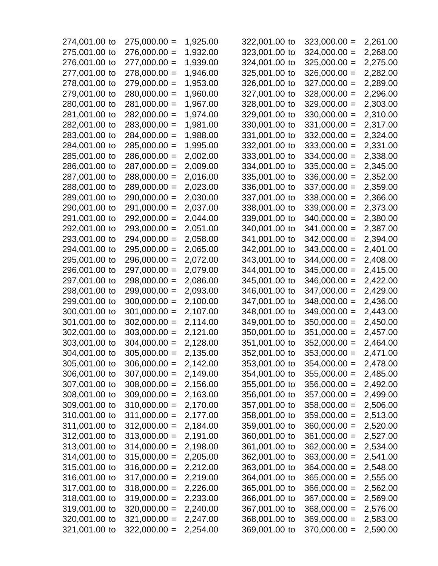| 274,001.00 to | $275,000.00 =$ | 1,925.00 | 322,001.00 to | $323,000.00 =$ | 2,261.00             |
|---------------|----------------|----------|---------------|----------------|----------------------|
| 275,001.00 to | $276,000.00 =$ | 1,932.00 | 323,001.00 to | $324,000.00 =$ | 2,268.00             |
| 276,001.00 to | $277,000.00 =$ | 1,939.00 | 324,001.00 to | $325,000.00 =$ | 2,275.00             |
| 277,001.00 to | $278,000.00 =$ | 1,946.00 | 325,001.00 to | $326,000.00 =$ | 2,282.00             |
| 278,001.00 to | $279,000.00 =$ | 1,953.00 | 326,001.00 to | $327,000.00 =$ | 2,289.00             |
| 279,001.00 to | $280,000.00 =$ | 1,960.00 | 327,001.00 to | $328,000.00 =$ | 2,296.00             |
| 280,001.00 to | $281,000.00 =$ | 1,967.00 | 328,001.00 to | $329,000.00 =$ | 2,303.00             |
| 281,001.00 to | $282,000.00 =$ | 1,974.00 | 329,001.00 to | $330,000.00 =$ | 2,310.00             |
| 282,001.00 to | $283,000.00 =$ | 1,981.00 | 330,001.00 to | $331,000.00 =$ | 2,317.00             |
| 283,001.00 to | $284,000.00 =$ | 1,988.00 | 331,001.00 to | $332,000.00 =$ | 2,324.00             |
| 284,001.00 to | $285,000.00 =$ | 1,995.00 | 332,001.00 to | $333,000.00 =$ | 2,331.00             |
| 285,001.00 to | $286,000.00 =$ | 2,002.00 | 333,001.00 to | $334,000.00 =$ | 2,338.00             |
| 286,001.00 to | $287,000.00 =$ | 2,009.00 | 334,001.00 to | $335,000.00 =$ | 2,345.00             |
| 287,001.00 to | $288,000.00 =$ | 2,016.00 | 335,001.00 to | $336,000.00 =$ | 2,352.00             |
| 288,001.00 to | $289,000.00 =$ | 2,023.00 | 336,001.00 to | $337,000.00 =$ | 2,359.00             |
| 289,001.00 to | $290,000.00 =$ | 2,030.00 | 337,001.00 to | $338,000.00 =$ | 2,366.00             |
| 290,001.00 to | $291,000.00 =$ | 2,037.00 | 338,001.00 to | $339,000.00 =$ | 2,373.00             |
| 291,001.00 to | $292,000.00 =$ | 2,044.00 | 339,001.00 to | $340,000.00 =$ | 2,380.00             |
| 292,001.00 to | $293,000.00 =$ | 2,051.00 | 340,001.00 to | $341,000.00 =$ | 2,387.00             |
| 293,001.00 to | $294,000.00 =$ | 2,058.00 | 341,001.00 to | $342,000.00 =$ | 2,394.00             |
| 294,001.00 to | $295,000.00 =$ | 2,065.00 | 342,001.00 to | $343,000.00 =$ | 2,401.00             |
| 295,001.00 to | $296,000.00 =$ | 2,072.00 | 343,001.00 to | $344,000.00 =$ | 2,408.00             |
| 296,001.00 to | $297,000.00 =$ | 2,079.00 | 344,001.00 to | $345,000.00 =$ | 2,415.00             |
| 297,001.00 to | $298,000.00 =$ | 2,086.00 | 345,001.00 to | $346,000.00 =$ | 2,422.00             |
| 298,001.00 to | $299,000.00 =$ | 2,093.00 | 346,001.00 to | $347,000.00 =$ | 2,429.00             |
| 299,001.00 to | $300,000.00 =$ | 2,100.00 | 347,001.00 to | $348,000.00 =$ | 2,436.00             |
| 300,001.00 to | $301,000.00 =$ | 2,107.00 | 348,001.00 to | $349,000.00 =$ | 2,443.00             |
| 301,001.00 to | $302,000.00 =$ | 2,114.00 | 349,001.00 to | $350,000.00 =$ |                      |
| 302,001.00 to | $303,000.00 =$ | 2,121.00 | 350,001.00 to |                | 2,450.00             |
| 303,001.00 to | $304,000.00 =$ |          | 351,001.00 to | $351,000.00 =$ | 2,457.00             |
|               |                | 2,128.00 |               | $352,000.00 =$ | 2,464.00<br>2,471.00 |
| 304,001.00 to | $305,000.00 =$ | 2,135.00 | 352,001.00 to | $353,000.00 =$ |                      |
| 305,001.00 to | $306,000.00 =$ | 2,142.00 | 353,001.00 to | $354,000.00 =$ | 2,478.00             |
| 306,001.00 to | $307,000.00 =$ | 2,149.00 | 354,001.00 to | $355,000.00 =$ | 2,485.00             |
| 307,001.00 to | $308,000.00 =$ | 2,156.00 | 355,001.00 to | $356,000.00 =$ | 2,492.00             |
| 308,001.00 to | $309,000.00 =$ | 2,163.00 | 356,001.00 to | $357,000.00 =$ | 2,499.00             |
| 309,001.00 to | $310,000.00 =$ | 2,170.00 | 357,001.00 to | $358,000.00 =$ | 2,506.00             |
| 310,001.00 to | $311,000.00 =$ | 2,177.00 | 358,001.00 to | $359,000.00 =$ | 2,513.00             |
| 311,001.00 to | $312,000.00 =$ | 2,184.00 | 359,001.00 to | $360,000.00 =$ | 2,520.00             |
| 312,001.00 to | $313,000.00 =$ | 2,191.00 | 360,001.00 to | $361,000.00 =$ | 2,527.00             |
| 313,001.00 to | $314,000.00 =$ | 2,198.00 | 361,001.00 to | $362,000.00 =$ | 2,534.00             |
| 314,001.00 to | $315,000.00 =$ | 2,205.00 | 362,001.00 to | $363,000.00 =$ | 2,541.00             |
| 315,001.00 to | $316,000.00 =$ | 2,212.00 | 363,001.00 to | $364,000.00 =$ | 2,548.00             |
| 316,001.00 to | $317,000.00 =$ | 2,219.00 | 364,001.00 to | $365,000.00 =$ | 2,555.00             |
| 317,001.00 to | $318,000.00 =$ | 2,226.00 | 365,001.00 to | $366,000.00 =$ | 2,562.00             |
| 318,001.00 to | $319,000.00 =$ | 2,233.00 | 366,001.00 to | $367,000.00 =$ | 2,569.00             |
| 319,001.00 to | $320,000.00 =$ | 2,240.00 | 367,001.00 to | $368,000.00 =$ | 2,576.00             |
| 320,001.00 to | $321,000.00 =$ | 2,247.00 | 368,001.00 to | $369,000.00 =$ | 2,583.00             |
| 321,001.00 to | $322,000.00 =$ | 2,254.00 | 369,001.00 to | $370,000.00 =$ | 2,590.00             |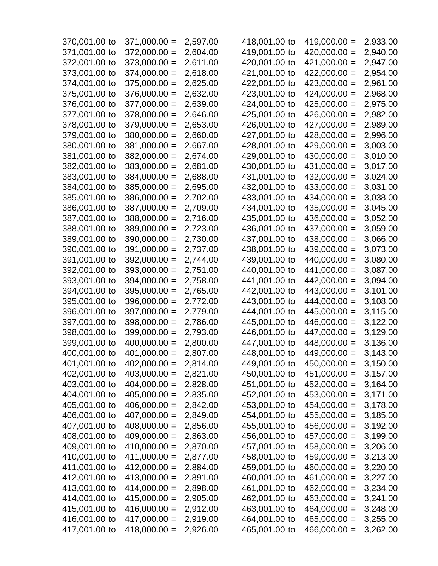| 370,001.00 to | $371,000.00 =$ | 2,597.00 | 418,001.00 to                  | $419,000.00 =$ | 2,933.00 |
|---------------|----------------|----------|--------------------------------|----------------|----------|
| 371,001.00 to | $372,000.00 =$ | 2,604.00 | 419,001.00 to                  | $420,000.00 =$ | 2,940.00 |
| 372,001.00 to | $373,000.00 =$ | 2,611.00 | 420,001.00 to                  | $421,000.00 =$ | 2,947.00 |
| 373,001.00 to | $374,000.00 =$ | 2,618.00 | 421,001.00 to                  | $422,000.00 =$ | 2,954.00 |
| 374,001.00 to | $375,000.00 =$ | 2,625.00 | 422,001.00 to                  | $423,000.00 =$ | 2,961.00 |
| 375,001.00 to | $376,000.00 =$ | 2,632.00 | 423,001.00 to                  | $424,000.00 =$ | 2,968.00 |
| 376,001.00 to | $377,000.00 =$ | 2,639.00 | 424,001.00 to                  | $425,000.00 =$ | 2,975.00 |
| 377,001.00 to | $378,000.00 =$ | 2,646.00 | 425,001.00 to                  | $426,000.00 =$ | 2,982.00 |
| 378,001.00 to | $379,000.00 =$ | 2,653.00 | 426,001.00 to                  | $427,000.00 =$ | 2,989.00 |
| 379,001.00 to | $380,000.00 =$ | 2,660.00 | 427,001.00 to                  | $428,000.00 =$ | 2,996.00 |
| 380,001.00 to | $381,000.00 =$ | 2,667.00 | 428,001.00 to                  | $429,000.00 =$ | 3,003.00 |
| 381,001.00 to | $382,000.00 =$ | 2,674.00 | 429,001.00 to                  | $430,000.00 =$ | 3,010.00 |
| 382,001.00 to | $383,000.00 =$ | 2,681.00 | 430,001.00 to                  | $431,000.00 =$ | 3,017.00 |
| 383,001.00 to | $384,000.00 =$ | 2,688.00 | 431,001.00 to                  | $432,000.00 =$ | 3,024.00 |
| 384,001.00 to | $385,000.00 =$ | 2,695.00 | 432,001.00 to                  | $433,000.00 =$ | 3,031.00 |
| 385,001.00 to | $386,000.00 =$ | 2,702.00 | 433,001.00 to                  | $434,000.00 =$ | 3,038.00 |
| 386,001.00 to | $387,000.00 =$ | 2,709.00 | 434,001.00 to                  | $435,000.00 =$ | 3,045.00 |
| 387,001.00 to | $388,000.00 =$ | 2,716.00 | 435,001.00 to                  | $436,000.00 =$ | 3,052.00 |
| 388,001.00 to | $389,000.00 =$ | 2,723.00 | 436,001.00 to                  | $437,000.00 =$ | 3,059.00 |
| 389,001.00 to | $390,000.00 =$ | 2,730.00 | 437,001.00 to                  | $438,000.00 =$ | 3,066.00 |
| 390,001.00 to | $391,000.00 =$ | 2,737.00 | 438,001.00 to                  | $439,000.00 =$ | 3,073.00 |
| 391,001.00 to | $392,000.00 =$ | 2,744.00 | 439,001.00 to                  | $440,000.00 =$ | 3,080.00 |
| 392,001.00 to | $393,000.00 =$ | 2,751.00 | 440,001.00 to                  | $441,000.00 =$ | 3,087.00 |
| 393,001.00 to | $394,000.00 =$ | 2,758.00 | 441,001.00 to                  | $442,000.00 =$ | 3,094.00 |
| 394,001.00 to | $395,000.00 =$ | 2,765.00 | 442,001.00 to                  | $443,000.00 =$ | 3,101.00 |
| 395,001.00 to | $396,000.00 =$ | 2,772.00 | 443,001.00 to                  | $444,000.00 =$ | 3,108.00 |
| 396,001.00 to | $397,000.00 =$ | 2,779.00 | 444,001.00 to                  | $445,000.00 =$ | 3,115.00 |
| 397,001.00 to | $398,000.00 =$ | 2,786.00 | 445,001.00 to                  | $446,000.00 =$ |          |
| 398,001.00 to | $399,000.00 =$ | 2,793.00 |                                | $447,000.00 =$ | 3,122.00 |
| 399,001.00 to |                | 2,800.00 | 446,001.00 to<br>447,001.00 to | $448,000.00 =$ | 3,129.00 |
|               | $400,000.00 =$ | 2,807.00 |                                | $449,000.00 =$ | 3,136.00 |
| 400,001.00 to | $401,000.00 =$ |          | 448,001.00 to                  |                | 3,143.00 |
| 401,001.00 to | $402,000.00 =$ | 2,814.00 | 449,001.00 to                  | $450,000.00 =$ | 3,150.00 |
| 402,001.00 to | $403,000.00 =$ | 2,821.00 | 450,001.00 to                  | $451,000.00 =$ | 3,157.00 |
| 403,001.00 to | $404,000.00 =$ | 2,828.00 | 451,001.00 to                  | $452,000.00 =$ | 3,164.00 |
| 404,001.00 to | $405,000.00 =$ | 2,835.00 | 452,001.00 to                  | $453,000.00 =$ | 3,171.00 |
| 405,001.00 to | $406,000.00 =$ | 2,842.00 | 453,001.00 to                  | $454,000.00 =$ | 3,178.00 |
| 406,001.00 to | $407,000.00 =$ | 2,849.00 | 454,001.00 to                  | $455,000.00 =$ | 3,185.00 |
| 407,001.00 to | $408,000.00 =$ | 2,856.00 | 455,001.00 to                  | $456,000.00 =$ | 3,192.00 |
| 408,001.00 to | $409,000.00 =$ | 2,863.00 | 456,001.00 to                  | $457,000.00 =$ | 3,199.00 |
| 409,001.00 to | $410,000.00 =$ | 2,870.00 | 457,001.00 to                  | $458,000.00 =$ | 3,206.00 |
| 410,001.00 to | $411,000.00 =$ | 2,877.00 | 458,001.00 to                  | $459,000.00 =$ | 3,213.00 |
| 411,001.00 to | $412,000.00 =$ | 2,884.00 | 459,001.00 to                  | $460,000.00 =$ | 3,220.00 |
| 412,001.00 to | $413,000.00 =$ | 2,891.00 | 460,001.00 to                  | $461,000.00 =$ | 3,227.00 |
| 413,001.00 to | $414,000.00 =$ | 2,898.00 | 461,001.00 to                  | $462,000.00 =$ | 3,234.00 |
| 414,001.00 to | $415,000.00 =$ | 2,905.00 | 462,001.00 to                  | $463,000.00 =$ | 3,241.00 |
| 415,001.00 to | $416,000.00 =$ | 2,912.00 | 463,001.00 to                  | $464,000.00 =$ | 3,248.00 |
| 416,001.00 to | $417,000.00 =$ | 2,919.00 | 464,001.00 to                  | $465,000.00 =$ | 3,255.00 |
| 417,001.00 to | $418,000.00 =$ | 2,926.00 | 465,001.00 to                  | $466,000.00 =$ | 3,262.00 |